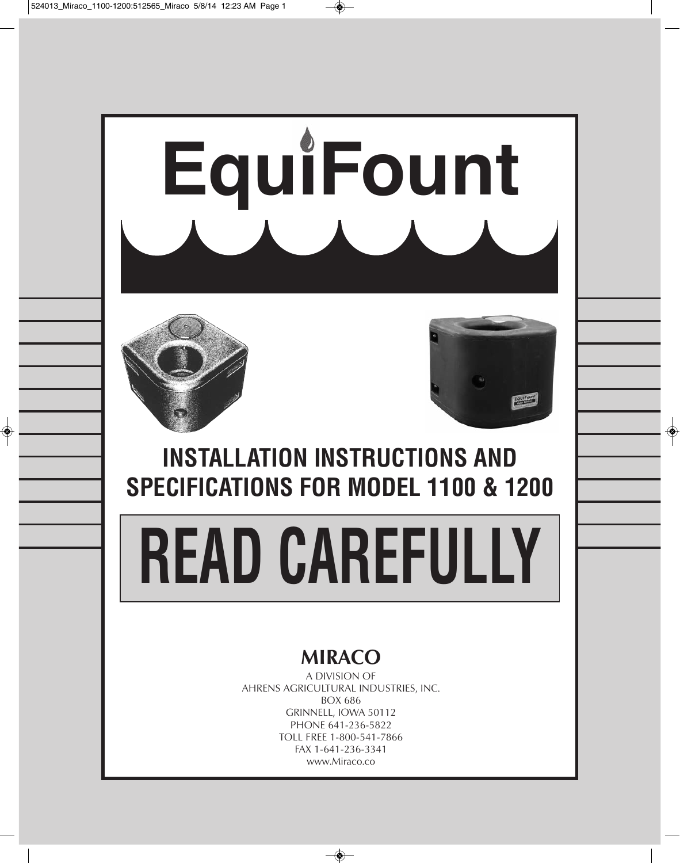

A DIVISION OF AHRENS AGRICULTURAL INDUSTRIES, INC. BOX 686 GRINNELL, IOWA 50112 PHONE 641-236-5822 TOLL FREE 1-800-541-7866 FAX 1-641-236-3341 www.Miraco.co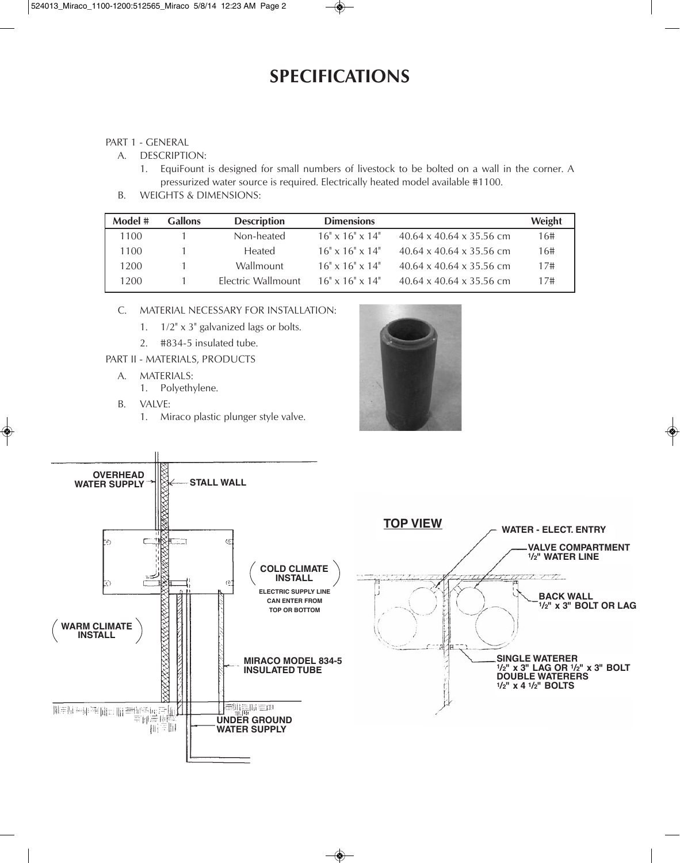## **SPECIFICATIONS**

## PART 1 - GENERAL

- A. DESCRIPTION:
	- 1. EquiFount is designed for small numbers of livestock to be bolted on a wall in the corner. A pressurized water source is required. Electrically heated model available #1100.
- B. WEIGHTS & DIMENSIONS:

| Model # | <b>Gallons</b> | <b>Description</b> | <b>Dimensions</b>              |                                      | Weight |
|---------|----------------|--------------------|--------------------------------|--------------------------------------|--------|
| 1100    |                | Non-heated         | $16" \times 16" \times 14"$    | $40.64 \times 40.64 \times 35.56$ cm | 16#    |
| 1100    |                | <b>Heated</b>      | $16" \times 16" \times 14"$    | $40.64 \times 40.64 \times 35.56$ cm | 16#    |
| 1200    |                | Wallmount          | $16" \times 16" \times 14"$    | $40.64 \times 40.64 \times 35.56$ cm | 17#    |
| 1200    |                | Flectric Wallmount | $16'' \times 16'' \times 14''$ | $40.64 \times 40.64 \times 35.56$ cm | 17#    |

- C. MATERIAL NECESSARY FOR INSTALLATION:
	- 1. 1/2" x 3" galvanized lags or bolts.
	- 2. #834-5 insulated tube.
- PART II MATERIALS, PRODUCTS
	- A. MATERIALS:
		- 1. Polyethylene.
	- B. VALVE:
		- 1. Miraco plastic plunger style valve.



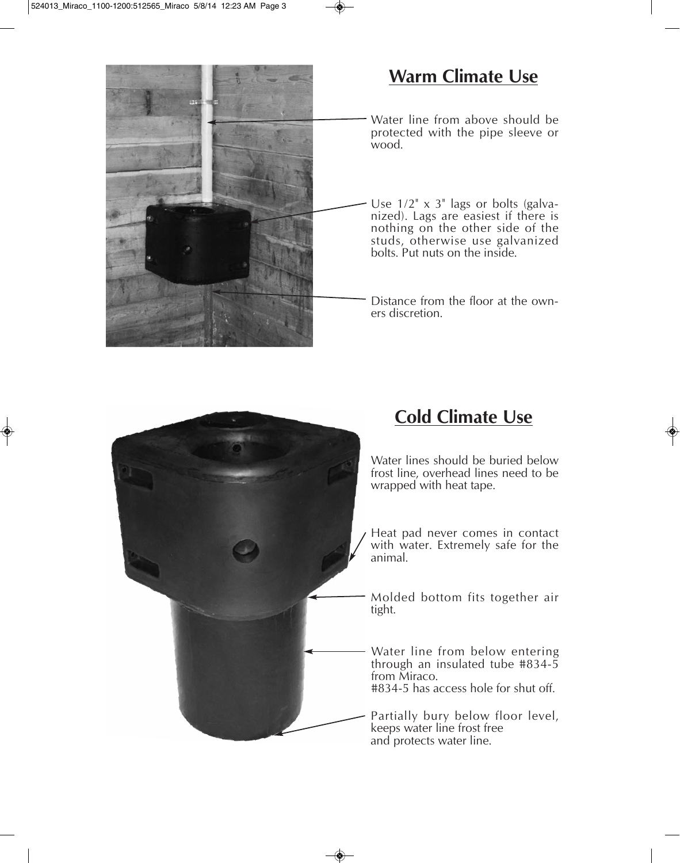

## **Warm Climate Use**

Water line from above should be protected with the pipe sleeve or wood.

Use  $1/2$ " x 3" lags or bolts (galvanized). Lags are easiest if there is nothing on the other side of the studs, otherwise use galvanized bolts. Put nuts on the inside.

Distance from the floor at the owners discretion.



## **Cold Climate Use**

Water lines should be buried below frost line, overhead lines need to be

Heat pad never comes in contact with water. Extremely safe for the

Molded bottom fits together air

Water line from below entering through an insulated tube #834-5 #834-5 has access hole for shut off.

Partially bury below floor level,